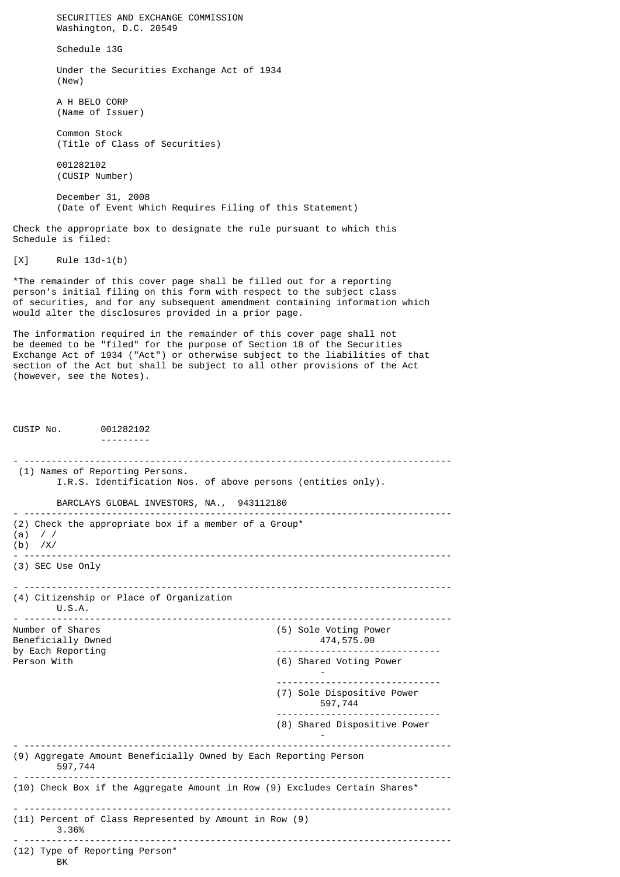SECURITIES AND EXCHANGE COMMISSION Washington, D.C. 20549 Schedule 13G Under the Securities Exchange Act of 1934 (New) A H BELO CORP (Name of Issuer) Common Stock (Title of Class of Securities) 001282102 (CUSIP Number) December 31, 2008 (Date of Event Which Requires Filing of this Statement) Check the appropriate box to designate the rule pursuant to which this Schedule is filed: [X] Rule 13d-1(b) \*The remainder of this cover page shall be filled out for a reporting person's initial filing on this form with respect to the subject class of securities, and for any subsequent amendment containing information which would alter the disclosures provided in a prior page. The information required in the remainder of this cover page shall not be deemed to be "filed" for the purpose of Section 18 of the Securities Exchange Act of 1934 ("Act") or otherwise subject to the liabilities of that section of the Act but shall be subject to all other provisions of the Act (however, see the Notes). CUSIP No. 001282102 --------- - ------------------------------------------------------------------------------ (1) Names of Reporting Persons. I.R.S. Identification Nos. of above persons (entities only). BARCLAYS GLOBAL INVESTORS, NA., 943112180 - ------------------------------------------------------------------------------ (2) Check the appropriate box if a member of a Group\* (a) / / (b) /X/ - ------------------------------------------------------------------------------ (3) SEC Use Only - ------------------------------------------------------------------------------ (4) Citizenship or Place of Organization  $U.S.A.$ - ------------------------------------------------------------------------------ (5) Sole Voting Power Beneficially Owned **474,575.00** by Each Reporting and the set of the control of the control of the control of the control of the control of the control of the control of the control of the control of the control of the control of the control of the contr (6) Shared Voting Power - ------------------------------ (7) Sole Dispositive Power 597,744 ------------------------------ (8) Shared Dispositive Power - - ------------------------------------------------------------------------------ (9) Aggregate Amount Beneficially Owned by Each Reporting Person 597,744 - ------------------------------------------------------------------------------ (10) Check Box if the Aggregate Amount in Row (9) Excludes Certain Shares\* - ------------------------------------------------------------------------------ (11) Percent of Class Represented by Amount in Row (9) 3.36% - ------------------------------------------------------------------------------ (12) Type of Reporting Person\* **BK**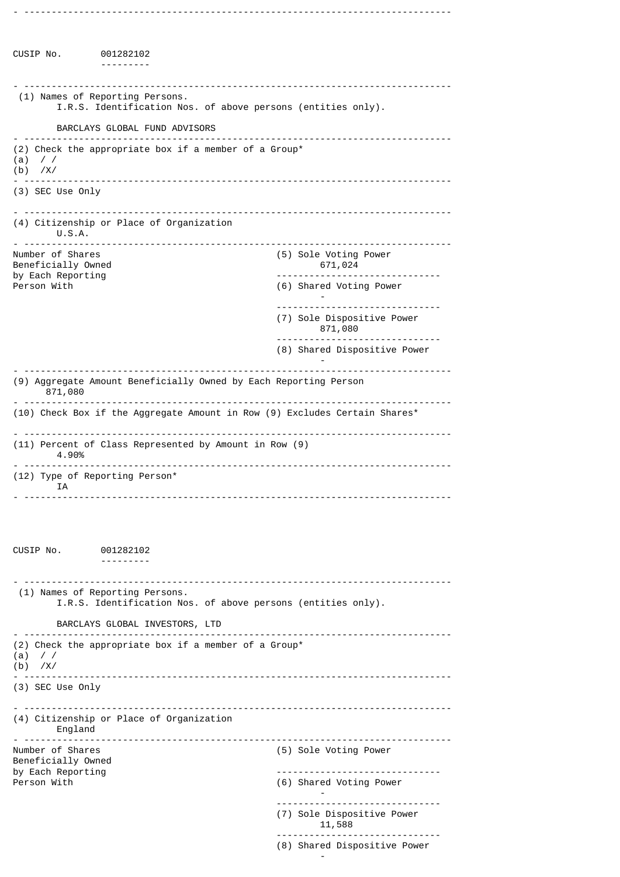CUSIP No. 001282102 --------- - ------------------------------------------------------------------------------ (1) Names of Reporting Persons. I.R.S. Identification Nos. of above persons (entities only). BARCLAYS GLOBAL FUND ADVISORS - ------------------------------------------------------------------------------ (2) Check the appropriate box if a member of a Group\* (a) / / (b) /X/ - ------------------------------------------------------------------------------ (3) SEC Use Only - ------------------------------------------------------------------------------ (4) Citizenship or Place of Organization U.S.A. - ------------------------------------------------------------------------------ (5) Sole Voting Power  $671,024$ Beneficially Owned by Each Reporting and the set of the control of the control of the control of the control of the control of the control of the control of the control of the control of the control of the control of the control of the contr (6) Shared Voting Power - ------------------------------ (7) Sole Dispositive Power 871,080 ------------------------------ (8) Shared Dispositive Power - - ------------------------------------------------------------------------------ (9) Aggregate Amount Beneficially Owned by Each Reporting Person 871,080 - ------------------------------------------------------------------------------ (10) Check Box if the Aggregate Amount in Row (9) Excludes Certain Shares\* - ------------------------------------------------------------------------------ (11) Percent of Class Represented by Amount in Row (9) 4.90% - ------------------------------------------------------------------------------ (12) Type of Reporting Person\* IA - ------------------------------------------------------------------------------ CUSIP No. 001282102 --------- - ------------------------------------------------------------------------------ (1) Names of Reporting Persons. I.R.S. Identification Nos. of above persons (entities only). BARCLAYS GLOBAL INVESTORS, LTD - ------------------------------------------------------------------------------ (2) Check the appropriate box if a member of a Group\* (a) / / (b) /X/ - ------------------------------------------------------------------------------ (3) SEC Use Only - ------------------------------------------------------------------------------ (4) Citizenship or Place of Organization England - ------------------------------------------------------------------------------ (5) Sole Voting Power Beneficially Owned<br>by Each Reporting by Each Reporting and the control of the control of the control of the control of the control of the control o<br>Person With the control of the control of the control of the control of the control of the control of the contr (6) Shared Voting Power - ------------------------------ (7) Sole Dispositive Power 11,588 ------------------------------ (8) Shared Dispositive Power

-

- ------------------------------------------------------------------------------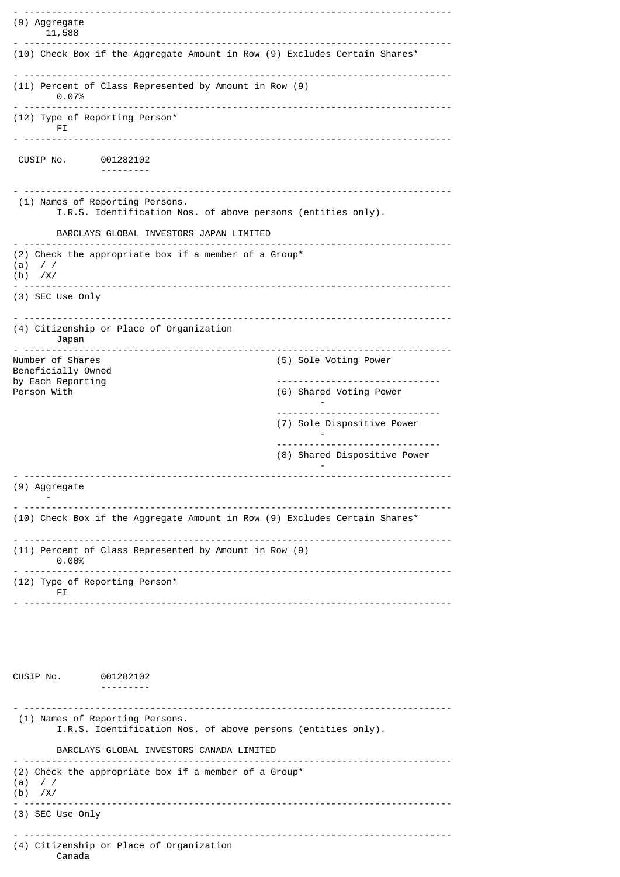```
(9) Aggregate
    11,588
  - ------------------------------------------------------------------------------
(10) Check Box if the Aggregate Amount in Row (9) Excludes Certain Shares*
- ------------------------------------------------------------------------------
(11) Percent of Class Represented by Amount in Row (9)
    0.07%
 - ------------------------------------------------------------------------------
(12) Type of Reporting Person*
       FI.
 - ------------------------------------------------------------------------------
 CUSIP No. 001282102
                ---------
 - ------------------------------------------------------------------------------
 (1) Names of Reporting Persons.
        I.R.S. Identification Nos. of above persons (entities only).
       BARCLAYS GLOBAL INVESTORS JAPAN LIMITED
- ------------------------------------------------------------------------------
(2) Check the appropriate box if a member of a Group*
(a) / /(b) /X/
                    - ------------------------------------------------------------------------------
(3) SEC Use Only
 - ------------------------------------------------------------------------------
(4) Citizenship or Place of Organization
     Japan
- ------------------------------------------------------------------------------
                                                    (5) Sole Voting Power
Beneficially Owned
by Each Reporting and the control of the control of the control of the control of the control of the control o<br>Person With the control of the control of the control of the control of the control of the control of the contr
                                                    (6) Shared Voting Power
                                                            -
                                                    ------------------------------
                                                    (7) Sole Dispositive Power
                                                             -
                                                      ------------------------------
                                                    (8) Shared Dispositive Power
                                                             -
 - ------------------------------------------------------------------------------
(9) Aggregate
     -
- ------------------------------------------------------------------------------
(10) Check Box if the Aggregate Amount in Row (9) Excludes Certain Shares*
 - ------------------------------------------------------------------------------
(11) Percent of Class Represented by Amount in Row (9)
      0.00%
  - ------------------------------------------------------------------------------
(12) Type of Reporting Person*
      FI
- ------------------------------------------------------------------------------
CUSIP No. 001282102
                 ---------
  - ------------------------------------------------------------------------------
  (1) Names of Reporting Persons.
        I.R.S. Identification Nos. of above persons (entities only).
       BARCLAYS GLOBAL INVESTORS CANADA LIMITED
- ------------------------------------------------------------------------------
(2) Check the appropriate box if a member of a Group*
(a) / /
(b) /X/
  - ------------------------------------------------------------------------------
(3) SEC Use Only
                                          - ------------------------------------------------------------------------------
(4) Citizenship or Place of Organization
        Canada
```
- ------------------------------------------------------------------------------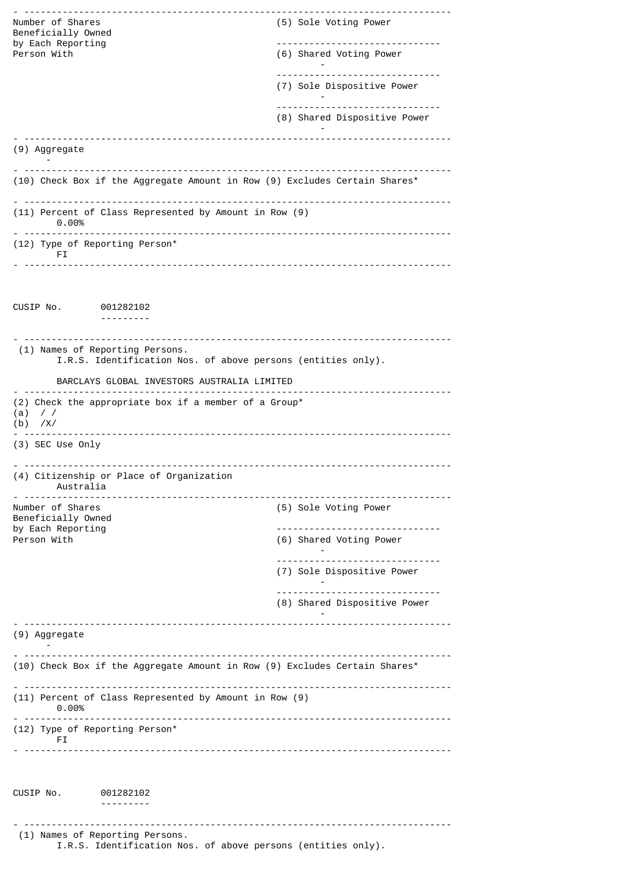| Number of Shares<br>Beneficially Owned                                                          | (5) Sole Voting Power                                           |  |
|-------------------------------------------------------------------------------------------------|-----------------------------------------------------------------|--|
| by Each Reporting<br>Person With                                                                | (6) Shared Voting Power                                         |  |
|                                                                                                 | (7) Sole Dispositive Power                                      |  |
|                                                                                                 | -------------------------------                                 |  |
|                                                                                                 | (8) Shared Dispositive Power                                    |  |
| (9) Aggregate                                                                                   |                                                                 |  |
| (10) Check Box if the Aggregate Amount in Row (9) Excludes Certain Shares*                      |                                                                 |  |
| (11) Percent of Class Represented by Amount in Row (9)<br>0.00%                                 |                                                                 |  |
| (12) Type of Reporting Person*<br>FI.                                                           |                                                                 |  |
|                                                                                                 |                                                                 |  |
| CUSIP No.<br>001282102                                                                          |                                                                 |  |
| ---------                                                                                       |                                                                 |  |
| (1) Names of Reporting Persons.<br>I.R.S. Identification Nos. of above persons (entities only). |                                                                 |  |
| BARCLAYS GLOBAL INVESTORS AUSTRALIA LIMITED                                                     |                                                                 |  |
| (2) Check the appropriate box if a member of a Group*<br>$\frac{1}{2}$<br>(a)                   |                                                                 |  |
| $(b)$ /X/                                                                                       |                                                                 |  |
| (3) SEC Use Only                                                                                |                                                                 |  |
| (4) Citizenship or Place of Organization<br>Australia                                           |                                                                 |  |
| ________________________________                                                                |                                                                 |  |
| Number of Shares<br>Beneficially Owned                                                          | (5) Sole Voting Power                                           |  |
| by Each Reporting<br>Person With                                                                | (6) Shared Voting Power                                         |  |
|                                                                                                 | (7) Sole Dispositive Power                                      |  |
|                                                                                                 | -------------------------------<br>(8) Shared Dispositive Power |  |
| (9) Aggregate                                                                                   |                                                                 |  |
| (10) Check Box if the Aggregate Amount in Row (9) Excludes Certain Shares*                      |                                                                 |  |
| (11) Percent of Class Represented by Amount in Row (9)<br>$0.00\%$                              |                                                                 |  |
| (12) Type of Reporting Person*<br>FI.                                                           |                                                                 |  |
|                                                                                                 |                                                                 |  |
| CUSIP No.<br>001282102<br>---------                                                             |                                                                 |  |
|                                                                                                 | <u>.</u><br><u> - - - - - - - - - - - -</u>                     |  |
| (1) Names of Reporting Persons.<br>I.R.S. Identification Nos. of above persons (entities only). |                                                                 |  |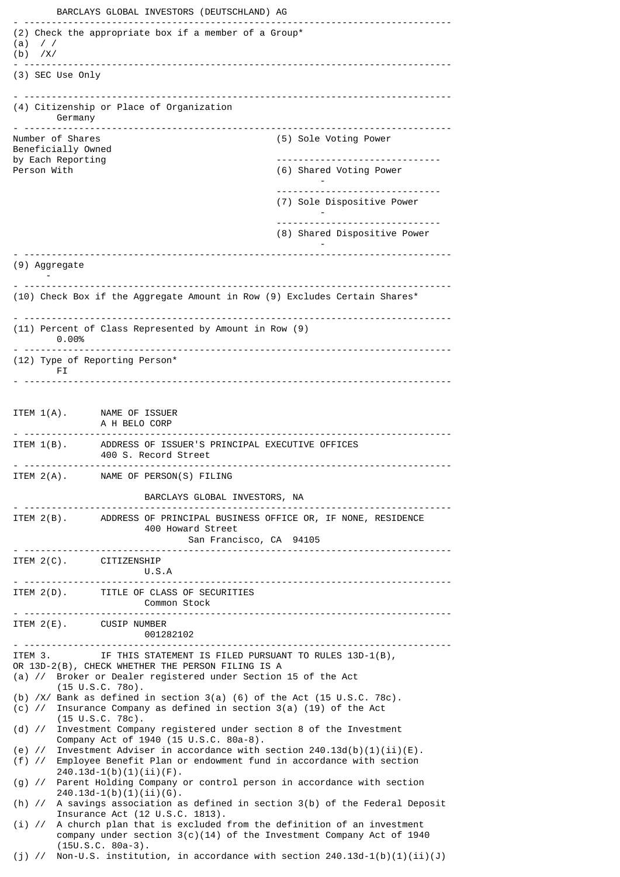BARCLAYS GLOBAL INVESTORS (DEUTSCHLAND) AG - ------------------------------------------------------------------------------ (2) Check the appropriate box if a member of a Group\* (a) / / (b) /X/ - ------------------------------------------------------------------------------ (3) SEC Use Only - ------------------------------------------------------------------------------ (4) Citizenship or Place of Organization Germany - ------------------------------------------------------------------------------ (5) Sole Voting Power Beneficially Owned by Each Reporting ------------------------------ (6) Shared Voting Power - ------------------------------ (7) Sole Dispositive Power - ------------------------------ (8) Shared Dispositive Power - - ------------------------------------------------------------------------------ (9) Aggregate - - ------------------------------------------------------------------------------ (10) Check Box if the Aggregate Amount in Row (9) Excludes Certain Shares\* - ------------------------------------------------------------------------------ (11) Percent of Class Represented by Amount in Row (9) 0.00% - ------------------------------------------------------------------------------ (12) Type of Reporting Person\* FI<sub>I</sub> - ------------------------------------------------------------------------------ ITEM 1(A). NAME OF ISSUER A H BELO CORP - ------------------------------------------------------------------------------ ITEM 1(B). ADDRESS OF ISSUER'S PRINCIPAL EXECUTIVE OFFICES 400 S. Record Street - ------------------------------------------------------------------------------ ITEM 2(A). NAME OF PERSON(S) FILING BARCLAYS GLOBAL INVESTORS, NA - ------------------------------------------------------------------------------ ITEM 2(B). ADDRESS OF PRINCIPAL BUSINESS OFFICE OR, IF NONE, RESIDENCE 400 Howard Street San Francisco, CA 94105 - ------------------------------------------------------------------------------ ITEM 2(C). CITIZENSHIP U.S.A - ------------------------------------------------------------------------------ ITEM 2(D). TITLE OF CLASS OF SECURITIES Common Stock - ------------------------------------------------------------------------------ ITEM 2(E). CUSIP NUMBER 001282102 - ------------------------------------------------------------------------------ IF THIS STATEMENT IS FILED PURSUANT TO RULES 13D-1(B), OR 13D-2(B), CHECK WHETHER THE PERSON FILING IS A (a) // Broker or Dealer registered under Section 15 of the Act (15 U.S.C. 78o). (b) /X/ Bank as defined in section 3(a) (6) of the Act (15 U.S.C. 78c). (c) // Insurance Company as defined in section 3(a) (19) of the Act (15 U.S.C. 78c). (d) // Investment Company registered under section 8 of the Investment Company Act of 1940 (15 U.S.C. 80a-8). (e) // Investment Adviser in accordance with section  $240.13d(b)(1)(ii)(E)$ .<br>(f) // Employee Benefit Plan or endowment fund in accordance with section Employee Benefit Plan or endowment fund in accordance with section  $240.13d-1(b)(1)(ii)(F)$ . (g) // Parent Holding Company or control person in accordance with section  $240.13d-1(b)(1)(ii)(G)$ . (h) // A savings association as defined in section 3(b) of the Federal Deposit Insurance Act (12 U.S.C. 1813). (i) // A church plan that is excluded from the definition of an investment company under section  $3(c)(14)$  of the Investment Company Act of 1940 (15U.S.C. 80a-3). (j)  $\frac{1}{2}$  Non-U.S. institution, in accordance with section 240.13d-1(b)(1)(ii)(J)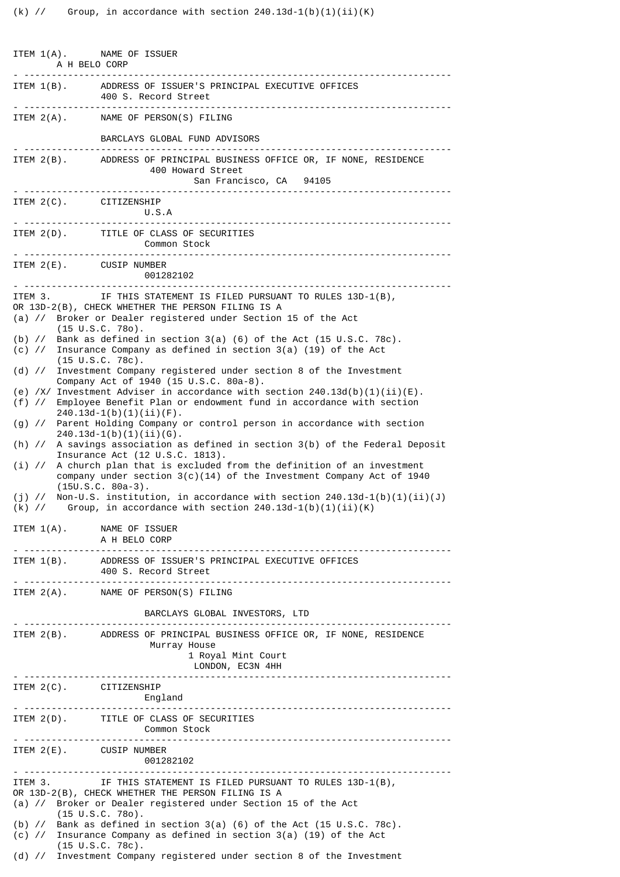| ITEM 1(A). NAME OF ISSUER<br>A H BELO CORP                                                                                                                                                                      |                                                                                                                                                                                    |  |  |
|-----------------------------------------------------------------------------------------------------------------------------------------------------------------------------------------------------------------|------------------------------------------------------------------------------------------------------------------------------------------------------------------------------------|--|--|
|                                                                                                                                                                                                                 | ITEM 1(B). ADDRESS OF ISSUER'S PRINCIPAL EXECUTIVE OFFICES<br>400 S. Record Street                                                                                                 |  |  |
|                                                                                                                                                                                                                 | ITEM 2(A). NAME OF PERSON(S) FILING                                                                                                                                                |  |  |
|                                                                                                                                                                                                                 | BARCLAYS GLOBAL FUND ADVISORS                                                                                                                                                      |  |  |
|                                                                                                                                                                                                                 | ITEM 2(B). ADDRESS OF PRINCIPAL BUSINESS OFFICE OR, IF NONE, RESIDENCE<br>400 Howard Street<br>San Francisco, CA 94105                                                             |  |  |
| ITEM 2(C). CITIZENSHIP                                                                                                                                                                                          | U.S.A<br><u>. </u>                                                                                                                                                                 |  |  |
|                                                                                                                                                                                                                 | ITEM 2(D). TITLE OF CLASS OF SECURITIES<br>Common Stock                                                                                                                            |  |  |
| ITEM 2(E). CUSIP NUMBER                                                                                                                                                                                         | 001282102                                                                                                                                                                          |  |  |
| ITEM 3.                                                                                                                                                                                                         | IF THIS STATEMENT IS FILED PURSUANT TO RULES 13D-1(B),                                                                                                                             |  |  |
|                                                                                                                                                                                                                 | OR 13D-2(B), CHECK WHETHER THE PERSON FILING IS A<br>(a) // Broker or Dealer registered under Section 15 of the Act<br>$(15 \tU.S.C. 780)$ .                                       |  |  |
|                                                                                                                                                                                                                 | (b) $\frac{1}{5}$ Bank as defined in section 3(a) (6) of the Act (15 U.S.C. 78c).<br>(c) // Insurance Company as defined in section 3(a) (19) of the Act<br>$(15 \cup S.C. 78c)$ . |  |  |
| (d) $\frac{1}{2}$                                                                                                                                                                                               | Investment Company registered under section 8 of the Investment<br>Company Act of 1940 (15 U.S.C. 80a-8).                                                                          |  |  |
| $(f)$ //                                                                                                                                                                                                        | (e) /X/ Investment Adviser in accordance with section $240.13d(b)(1)(ii)(E)$ .<br>Employee Benefit Plan or endowment fund in accordance with section<br>$240.13d-1(b)(1)(ii)(F)$ . |  |  |
| $(g)$ //                                                                                                                                                                                                        | Parent Holding Company or control person in accordance with section<br>$240.13d-1(b)(1)(ii)(G)$ .                                                                                  |  |  |
|                                                                                                                                                                                                                 | (h) // A savings association as defined in section 3(b) of the Federal Deposit<br>Insurance Act (12 U.S.C. 1813).                                                                  |  |  |
| $(i)$ //                                                                                                                                                                                                        | A church plan that is excluded from the definition of an investment<br>company under section $3(c)(14)$ of the Investment Company Act of 1940<br>$(15U.S.C. 80a-3).$               |  |  |
| $(j)$ //                                                                                                                                                                                                        | Non-U.S. institution, in accordance with section $240.13d-1(b)(1)(ii)(J)$<br>(k) $\frac{1}{1}$ Group, in accordance with section 240.13d-1(b)(1)(ii)(K)                            |  |  |
| ITEM $1(A)$ .                                                                                                                                                                                                   | NAME OF ISSUER<br>A H BELO CORP                                                                                                                                                    |  |  |
|                                                                                                                                                                                                                 | ITEM 1(B). ADDRESS OF ISSUER'S PRINCIPAL EXECUTIVE OFFICES<br>400 S. Record Street                                                                                                 |  |  |
|                                                                                                                                                                                                                 | ITEM 2(A). NAME OF PERSON(S) FILING                                                                                                                                                |  |  |
|                                                                                                                                                                                                                 | BARCLAYS GLOBAL INVESTORS, LTD                                                                                                                                                     |  |  |
|                                                                                                                                                                                                                 | ITEM 2(B). ADDRESS OF PRINCIPAL BUSINESS OFFICE OR, IF NONE, RESIDENCE<br>Murray House<br>1 Royal Mint Court<br>LONDON, EC3N 4HH                                                   |  |  |
| ITEM 2(C). CITIZENSHIP                                                                                                                                                                                          | England                                                                                                                                                                            |  |  |
|                                                                                                                                                                                                                 | ITEM 2(D). TITLE OF CLASS OF SECURITIES<br>Common Stock                                                                                                                            |  |  |
| ITEM $2(E)$ . CUSIP NUMBER                                                                                                                                                                                      | 001282102                                                                                                                                                                          |  |  |
| ITEM 3. IF THIS STATEMENT IS FILED PURSUANT TO RULES 13D-1(B),<br>OR 13D-2(B), CHECK WHETHER THE PERSON FILING IS A<br>(a) // Broker or Dealer registered under Section 15 of the Act<br>$(15 \cup S.C. 780)$ . |                                                                                                                                                                                    |  |  |
| (b) $\frac{1}{2}$ Bank as defined in section 3(a) (6) of the Act (15 U.S.C. 78c).<br>(c) // Insurance Company as defined in section 3(a) (19) of the Act<br>$(15 \cup S.C. 78c)$ .                              |                                                                                                                                                                                    |  |  |
|                                                                                                                                                                                                                 | (d) // Investment Company registered under section 8 of the Investment                                                                                                             |  |  |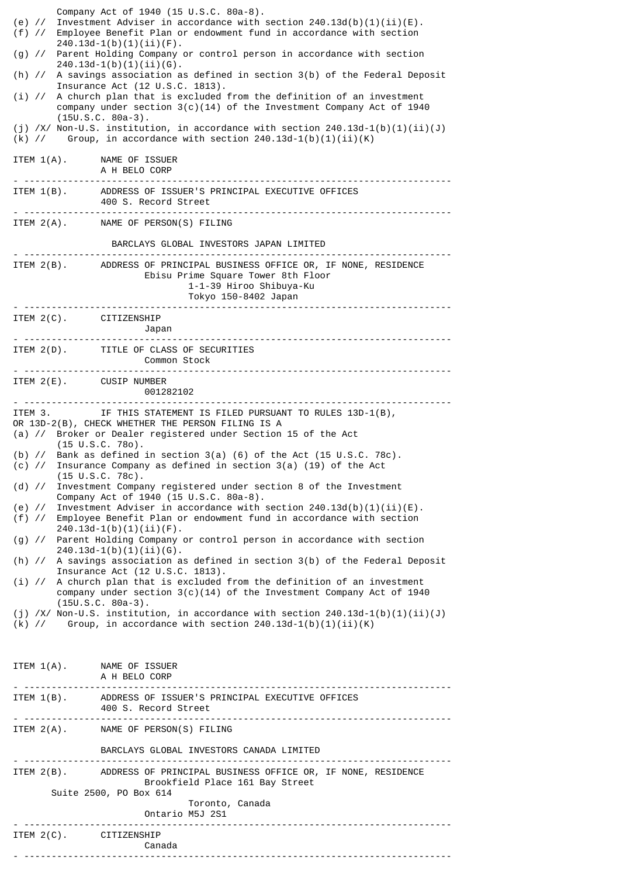| $(e)$ //<br>$(f)$ //                                                                                                                                                                                           | Company Act of 1940 (15 U.S.C. 80a-8).<br>Investment Adviser in accordance with section $240.13d(b)(1)(ii)(E)$ .<br>Employee Benefit Plan or endowment fund in accordance with section<br>$240.13d-1(b)(1)(ii)(F)$ .<br>(g) // Parent Holding Company or control person in accordance with section<br>$240.13d-1(b)(1)(ii)(6)$ .<br>(h) // A savings association as defined in section 3(b) of the Federal Deposit<br>Insurance Act (12 U.S.C. 1813).<br>$(i)$ // A church plan that is excluded from the definition of an investment<br>company under section $3(c)(14)$ of the Investment Company Act of 1940<br>$(15U.S.C. 80a-3).$<br>(j) /X/ Non-U.S. institution, in accordance with section $240.13d-1(b)(1)(ii)(J)$<br>$(k)$ // Group, in accordance with section 240.13d-1(b)(1)(ii)(K)<br>ITEM 1(A). NAME OF ISSUER<br>A H BELO CORP<br>ITEM 1(B). ADDRESS OF ISSUER'S PRINCIPAL EXECUTIVE OFFICES<br>400 S. Record Street<br>. |  |
|----------------------------------------------------------------------------------------------------------------------------------------------------------------------------------------------------------------|-------------------------------------------------------------------------------------------------------------------------------------------------------------------------------------------------------------------------------------------------------------------------------------------------------------------------------------------------------------------------------------------------------------------------------------------------------------------------------------------------------------------------------------------------------------------------------------------------------------------------------------------------------------------------------------------------------------------------------------------------------------------------------------------------------------------------------------------------------------------------------------------------------------------------------------------|--|
|                                                                                                                                                                                                                | ITEM 2(A). NAME OF PERSON(S) FILING                                                                                                                                                                                                                                                                                                                                                                                                                                                                                                                                                                                                                                                                                                                                                                                                                                                                                                       |  |
|                                                                                                                                                                                                                | BARCLAYS GLOBAL INVESTORS JAPAN LIMITED                                                                                                                                                                                                                                                                                                                                                                                                                                                                                                                                                                                                                                                                                                                                                                                                                                                                                                   |  |
|                                                                                                                                                                                                                | ITEM 2(B). ADDRESS OF PRINCIPAL BUSINESS OFFICE OR, IF NONE, RESIDENCE<br>Ebisu Prime Square Tower 8th Floor<br>1-1-39 Hiroo Shibuya-Ku<br>Tokyo 150-8402 Japan                                                                                                                                                                                                                                                                                                                                                                                                                                                                                                                                                                                                                                                                                                                                                                           |  |
| ITEM 2(C). CITIZENSHIP                                                                                                                                                                                         | Japan                                                                                                                                                                                                                                                                                                                                                                                                                                                                                                                                                                                                                                                                                                                                                                                                                                                                                                                                     |  |
|                                                                                                                                                                                                                | ITEM 2(D). TITLE OF CLASS OF SECURITIES<br>Common Stock                                                                                                                                                                                                                                                                                                                                                                                                                                                                                                                                                                                                                                                                                                                                                                                                                                                                                   |  |
| ITEM 2(E). CUSIP NUMBER                                                                                                                                                                                        | 001282102                                                                                                                                                                                                                                                                                                                                                                                                                                                                                                                                                                                                                                                                                                                                                                                                                                                                                                                                 |  |
| ITEM 3. IF THIS STATEMENT IS FILED PURSUANT TO RULES 13D-1(B),<br>OR 13D-2(B), CHECK WHETHER THE PERSON FILING IS A<br>(a) // Broker or Dealer registered under Section 15 of the Act<br>$(15 \tU.S.C. 780)$ . |                                                                                                                                                                                                                                                                                                                                                                                                                                                                                                                                                                                                                                                                                                                                                                                                                                                                                                                                           |  |
|                                                                                                                                                                                                                | (b) $\frac{1}{15}$ Bank as defined in section 3(a) (6) of the Act (15 U.S.C. 78c).<br>$(c)$ // Insurance Company as defined in section 3(a) (19) of the Act<br>$(15 \tU.S.C. 78c)$ .                                                                                                                                                                                                                                                                                                                                                                                                                                                                                                                                                                                                                                                                                                                                                      |  |
| Investment Company registered under section 8 of the Investment<br>$(d)$ //<br>Company Act of 1940 (15 U.S.C. 80a-8).                                                                                          |                                                                                                                                                                                                                                                                                                                                                                                                                                                                                                                                                                                                                                                                                                                                                                                                                                                                                                                                           |  |
| (e) $\frac{1}{2}$<br>$(f)$ //                                                                                                                                                                                  | Investment Adviser in accordance with section $240.13d(b)(1)(ii)(E)$ .<br>Employee Benefit Plan or endowment fund in accordance with section                                                                                                                                                                                                                                                                                                                                                                                                                                                                                                                                                                                                                                                                                                                                                                                              |  |
| $240.13d-1(b)(1)(ii)(F)$ .<br>(g) // Parent Holding Company or control person in accordance with section<br>$240.13d-1(b)(1)(ii)(6)$ .                                                                         |                                                                                                                                                                                                                                                                                                                                                                                                                                                                                                                                                                                                                                                                                                                                                                                                                                                                                                                                           |  |
| $(h)$ //                                                                                                                                                                                                       | A savings association as defined in section 3(b) of the Federal Deposit<br>Insurance Act (12 U.S.C. 1813).                                                                                                                                                                                                                                                                                                                                                                                                                                                                                                                                                                                                                                                                                                                                                                                                                                |  |
|                                                                                                                                                                                                                | $(i)$ // A church plan that is excluded from the definition of an investment<br>company under section $3(c)(14)$ of the Investment Company Act of 1940<br>$(15U.S.C. 80a-3).$                                                                                                                                                                                                                                                                                                                                                                                                                                                                                                                                                                                                                                                                                                                                                             |  |
|                                                                                                                                                                                                                | (j) /X/ Non-U.S. institution, in accordance with section $240.13d-1(b)(1)(ii)(J)$<br>(k) // Group, in accordance with section $240.13d-1(b)(1)(ii)(K)$                                                                                                                                                                                                                                                                                                                                                                                                                                                                                                                                                                                                                                                                                                                                                                                    |  |
|                                                                                                                                                                                                                |                                                                                                                                                                                                                                                                                                                                                                                                                                                                                                                                                                                                                                                                                                                                                                                                                                                                                                                                           |  |
|                                                                                                                                                                                                                | ITEM 1(A). NAME OF ISSUER<br>A H BELO CORP                                                                                                                                                                                                                                                                                                                                                                                                                                                                                                                                                                                                                                                                                                                                                                                                                                                                                                |  |
|                                                                                                                                                                                                                | ITEM 1(B). ADDRESS OF ISSUER'S PRINCIPAL EXECUTIVE OFFICES<br>400 S. Record Street                                                                                                                                                                                                                                                                                                                                                                                                                                                                                                                                                                                                                                                                                                                                                                                                                                                        |  |
|                                                                                                                                                                                                                | ITEM 2(A). NAME OF PERSON(S) FILING                                                                                                                                                                                                                                                                                                                                                                                                                                                                                                                                                                                                                                                                                                                                                                                                                                                                                                       |  |
|                                                                                                                                                                                                                | BARCLAYS GLOBAL INVESTORS CANADA LIMITED                                                                                                                                                                                                                                                                                                                                                                                                                                                                                                                                                                                                                                                                                                                                                                                                                                                                                                  |  |
|                                                                                                                                                                                                                | ITEM 2(B). ADDRESS OF PRINCIPAL BUSINESS OFFICE OR, IF NONE, RESIDENCE<br>Brookfield Place 161 Bay Street<br>Suite 2500, PO Box 614                                                                                                                                                                                                                                                                                                                                                                                                                                                                                                                                                                                                                                                                                                                                                                                                       |  |
| Toronto, Canada<br>Ontario M5J 2S1                                                                                                                                                                             |                                                                                                                                                                                                                                                                                                                                                                                                                                                                                                                                                                                                                                                                                                                                                                                                                                                                                                                                           |  |
| ITEM 2(C). CITIZENSHIP                                                                                                                                                                                         | Canada                                                                                                                                                                                                                                                                                                                                                                                                                                                                                                                                                                                                                                                                                                                                                                                                                                                                                                                                    |  |
|                                                                                                                                                                                                                |                                                                                                                                                                                                                                                                                                                                                                                                                                                                                                                                                                                                                                                                                                                                                                                                                                                                                                                                           |  |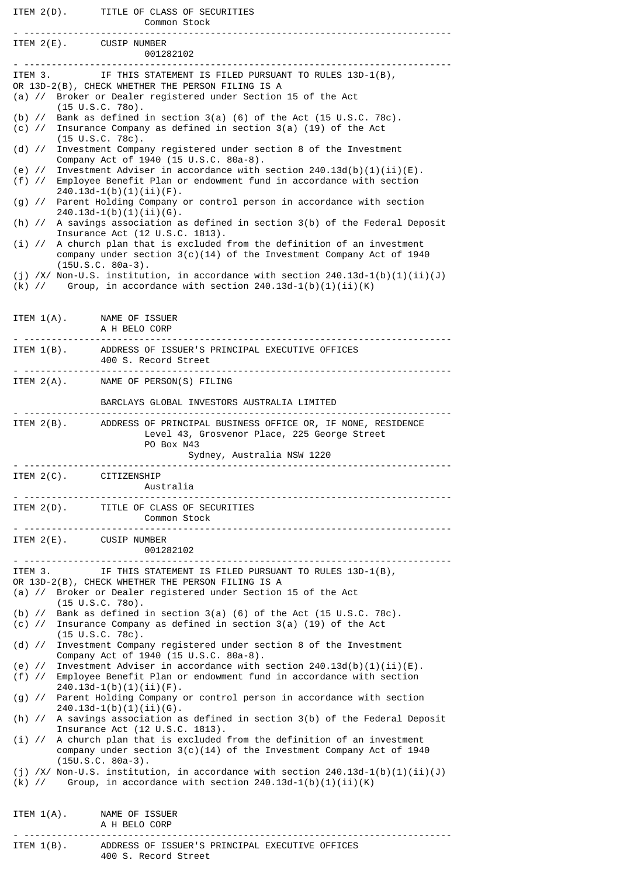|                                     | ITEM 2(D). TITLE OF CLASS OF SECURITIES<br><b>Common Stock</b>                                                                                                                           |
|-------------------------------------|------------------------------------------------------------------------------------------------------------------------------------------------------------------------------------------|
| ITEM 2(E). CUSIP NUMBER<br><u>.</u> | 001282102                                                                                                                                                                                |
| ITEM 3.                             | IF THIS STATEMENT IS FILED PURSUANT TO RULES 13D-1(B),                                                                                                                                   |
|                                     | OR 13D-2(B), CHECK WHETHER THE PERSON FILING IS A                                                                                                                                        |
|                                     | (a) // Broker or Dealer registered under Section 15 of the Act<br>$(15 \cup S.C. 780)$ .                                                                                                 |
|                                     | (b) $\frac{1}{15}$ Bank as defined in section 3(a) (6) of the Act (15 U.S.C. 78c).                                                                                                       |
|                                     | (c) // Insurance Company as defined in section 3(a) (19) of the Act<br>$(15 \tU.S.C. 78c).$                                                                                              |
|                                     | (d) // Investment Company registered under section 8 of the Investment<br>Company Act of 1940 (15 U.S.C. 80a-8).                                                                         |
|                                     | (e) // Investment Adviser in accordance with section $240.13d(b)(1)(ii)(E)$ .<br>(f) // Employee Benefit Plan or endowment fund in accordance with section<br>$240.13d-1(b)(1)(ii)(F)$ . |
|                                     | (g) // Parent Holding Company or control person in accordance with section<br>$240.13d-1(b)(1)(ii)(6)$ .                                                                                 |
|                                     | (h) // A savings association as defined in section 3(b) of the Federal Deposit<br>Insurance Act (12 U.S.C. 1813).                                                                        |
|                                     | $(i)$ // A church plan that is excluded from the definition of an investment<br>company under section $3(c)(14)$ of the Investment Company Act of 1940<br>$(15U.S.C. 80a-3).$            |
|                                     | (j) /X/ Non-U.S. institution, in accordance with section $240.13d-1(b)(1)(ii)(J)$<br>$(k)$ // Group, in accordance with section 240.13d-1(b)(1)(ii)(K)                                   |
| ITEM $1(A)$ .                       | NAME OF ISSUER                                                                                                                                                                           |
|                                     | A H BELO CORP<br>. <b>.</b> .                                                                                                                                                            |
|                                     | ITEM 1(B). ADDRESS OF ISSUER'S PRINCIPAL EXECUTIVE OFFICES<br>400 S. Record Street                                                                                                       |
|                                     | ITEM 2(A). NAME OF PERSON(S) FILING                                                                                                                                                      |
|                                     | BARCLAYS GLOBAL INVESTORS AUSTRALIA LIMITED                                                                                                                                              |
|                                     | ITEM 2(B). ADDRESS OF PRINCIPAL BUSINESS OFFICE OR, IF NONE, RESIDENCE<br>Level 43, Grosvenor Place, 225 George Street<br>PO Box N43<br>Sydney, Australia NSW 1220                       |
|                                     | ---------------------------------                                                                                                                                                        |
| ITEM $2(C)$ .<br><u>. </u>          | CITIZENSHIP<br>Australia                                                                                                                                                                 |
|                                     | ITEM 2(D). TITLE OF CLASS OF SECURITIES<br>Common Stock                                                                                                                                  |
| ITEM 2(E). CUSIP NUMBER             | 001282102                                                                                                                                                                                |
| ITEM 3.                             | IF THIS STATEMENT IS FILED PURSUANT TO RULES 13D-1(B),                                                                                                                                   |
|                                     | OR 13D-2(B), CHECK WHETHER THE PERSON FILING IS A<br>(a) // Broker or Dealer registered under Section 15 of the Act                                                                      |
|                                     | $(15 \cup S.C. 780)$ .                                                                                                                                                                   |
|                                     | (b) $\frac{1}{2}$ Bank as defined in section 3(a) (6) of the Act (15 U.S.C. 78c).<br>(c) // Insurance Company as defined in section 3(a) (19) of the Act                                 |
|                                     | $(15 \cup S.C. 78c)$ .<br>(d) // Investment Company registered under section 8 of the Investment                                                                                         |
|                                     | Company Act of 1940 (15 U.S.C. 80a-8).<br>(e) // Investment Adviser in accordance with section $240.13d(b)(1)(ii)(E)$ .                                                                  |
|                                     | (f) // Employee Benefit Plan or endowment fund in accordance with section<br>$240.13d-1(b)(1)(ii)(F).$                                                                                   |
|                                     | (g) // Parent Holding Company or control person in accordance with section<br>$240.13d-1(b)(1)(ii)(G)$ .                                                                                 |
|                                     | (h) // A savings association as defined in section 3(b) of the Federal Deposit<br>Insurance Act (12 U.S.C. 1813).                                                                        |
|                                     | (i) // A church plan that is excluded from the definition of an investment<br>company under section $3(c)(14)$ of the Investment Company Act of 1940                                     |
|                                     | $(15U.S.C. 80a-3).$<br>(j) /X/ Non-U.S. institution, in accordance with section $240.13d-1(b)(1)(ii)(J)$<br>(k) // Group, in accordance with section $240.13d-1(b)(1)(ii)(K)$            |
| ITEM $1(A)$ .                       | NAME OF ISSUER<br>A H BELO CORP                                                                                                                                                          |
|                                     | ITEM 1(B). ADDRESS OF ISSUER'S PRINCIPAL EXECUTIVE OFFICES                                                                                                                               |
|                                     | 400 S. Record Street                                                                                                                                                                     |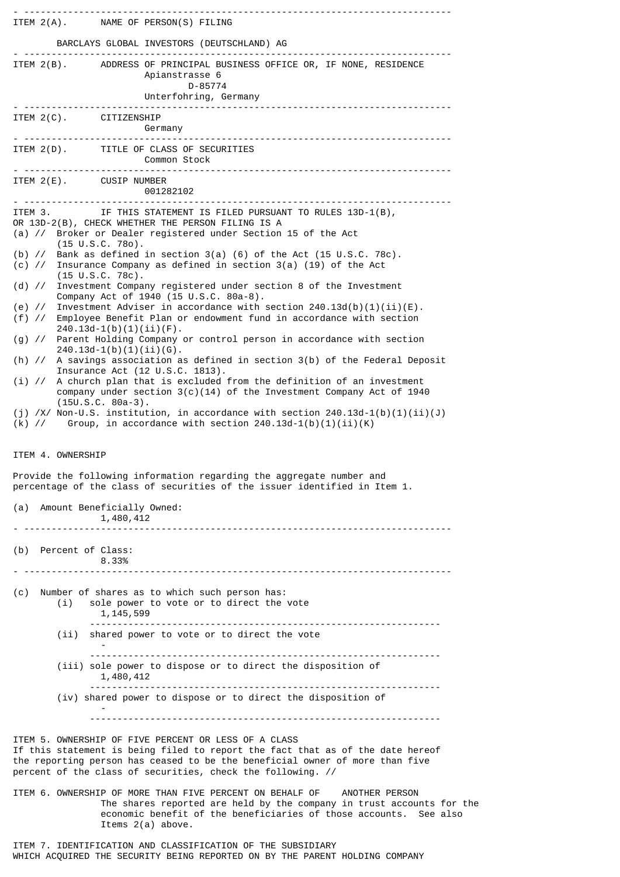|                                                                            | ITEM 2(A). NAME OF PERSON(S) FILING                                                                                                                                                                                                                                                                                                                                                                                                                                                                                                                                                                                                                                                                                                                                                                                                                                                                                                                                                                                                                                                                                                                                                                                                                                                                                                                                                                                                                     |
|----------------------------------------------------------------------------|---------------------------------------------------------------------------------------------------------------------------------------------------------------------------------------------------------------------------------------------------------------------------------------------------------------------------------------------------------------------------------------------------------------------------------------------------------------------------------------------------------------------------------------------------------------------------------------------------------------------------------------------------------------------------------------------------------------------------------------------------------------------------------------------------------------------------------------------------------------------------------------------------------------------------------------------------------------------------------------------------------------------------------------------------------------------------------------------------------------------------------------------------------------------------------------------------------------------------------------------------------------------------------------------------------------------------------------------------------------------------------------------------------------------------------------------------------|
|                                                                            | BARCLAYS GLOBAL INVESTORS (DEUTSCHLAND) AG                                                                                                                                                                                                                                                                                                                                                                                                                                                                                                                                                                                                                                                                                                                                                                                                                                                                                                                                                                                                                                                                                                                                                                                                                                                                                                                                                                                                              |
| -------------------------                                                  | ITEM 2(B). ADDRESS OF PRINCIPAL BUSINESS OFFICE OR, IF NONE, RESIDENCE<br>Apianstrasse 6<br>D-85774<br>Unterfohring, Germany                                                                                                                                                                                                                                                                                                                                                                                                                                                                                                                                                                                                                                                                                                                                                                                                                                                                                                                                                                                                                                                                                                                                                                                                                                                                                                                            |
| ITEM 2(C). CITIZENSHIP                                                     | Germany                                                                                                                                                                                                                                                                                                                                                                                                                                                                                                                                                                                                                                                                                                                                                                                                                                                                                                                                                                                                                                                                                                                                                                                                                                                                                                                                                                                                                                                 |
|                                                                            | ITEM 2(D). TITLE OF CLASS OF SECURITIES<br>Common Stock                                                                                                                                                                                                                                                                                                                                                                                                                                                                                                                                                                                                                                                                                                                                                                                                                                                                                                                                                                                                                                                                                                                                                                                                                                                                                                                                                                                                 |
| ITEM 2(E). CUSIP NUMBER                                                    | 001282102                                                                                                                                                                                                                                                                                                                                                                                                                                                                                                                                                                                                                                                                                                                                                                                                                                                                                                                                                                                                                                                                                                                                                                                                                                                                                                                                                                                                                                               |
| ITEM 3.<br>$(i)$ //<br>ITEM 4. OWNERSHIP<br>(a) Amount Beneficially Owned: | IF THIS STATEMENT IS FILED PURSUANT TO RULES 13D-1(B),<br>OR 13D-2(B), CHECK WHETHER THE PERSON FILING IS A<br>(a) // Broker or Dealer registered under Section 15 of the Act<br>$(15 \cup S.C. 780)$ .<br>(b) $\frac{1}{2}$ Bank as defined in section 3(a) (6) of the Act (15 U.S.C. 78c).<br>(c) // Insurance Company as defined in section 3(a) (19) of the Act<br>$(15 \text{ U.S.C. } 78c)$ .<br>(d) // Investment Company registered under section 8 of the Investment<br>Company Act of 1940 (15 U.S.C. 80a-8).<br>(e) // Investment Adviser in accordance with section $240.13d(b)(1)(ii)(E)$ .<br>(f) // Employee Benefit Plan or endowment fund in accordance with section<br>$240.13d-1(b)(1)(ii)(F).$<br>(g) // Parent Holding Company or control person in accordance with section<br>$240.13d-1(b)(1)(ii)(G)$ .<br>(h) // A savings association as defined in section 3(b) of the Federal Deposit<br>Insurance Act (12 U.S.C. 1813).<br>A church plan that is excluded from the definition of an investment<br>company under section $3(c)(14)$ of the Investment Company Act of 1940<br>$(15U.S.C. 80a-3).$<br>(j) /X/ Non-U.S. institution, in accordance with section $240.13d-1(b)(1)(ii)(J)$<br>(k) // Group, in accordance with section $240.13d-1(b)(1)(ii)(K)$<br>Provide the following information regarding the aggregate number and<br>percentage of the class of securities of the issuer identified in Item 1.<br>1,480,412 |
| (b) Percent of Class:                                                      | 8.33%                                                                                                                                                                                                                                                                                                                                                                                                                                                                                                                                                                                                                                                                                                                                                                                                                                                                                                                                                                                                                                                                                                                                                                                                                                                                                                                                                                                                                                                   |
| (c)<br>(i)                                                                 | Number of shares as to which such person has:<br>sole power to vote or to direct the vote<br>1, 145, 599                                                                                                                                                                                                                                                                                                                                                                                                                                                                                                                                                                                                                                                                                                                                                                                                                                                                                                                                                                                                                                                                                                                                                                                                                                                                                                                                                |
| (i)                                                                        | shared power to vote or to direct the vote                                                                                                                                                                                                                                                                                                                                                                                                                                                                                                                                                                                                                                                                                                                                                                                                                                                                                                                                                                                                                                                                                                                                                                                                                                                                                                                                                                                                              |
|                                                                            | (iii) sole power to dispose or to direct the disposition of<br>1,480,412                                                                                                                                                                                                                                                                                                                                                                                                                                                                                                                                                                                                                                                                                                                                                                                                                                                                                                                                                                                                                                                                                                                                                                                                                                                                                                                                                                                |
|                                                                            | (iv) shared power to dispose or to direct the disposition of                                                                                                                                                                                                                                                                                                                                                                                                                                                                                                                                                                                                                                                                                                                                                                                                                                                                                                                                                                                                                                                                                                                                                                                                                                                                                                                                                                                            |
|                                                                            | ITEM 5. OWNERSHIP OF FIVE PERCENT OR LESS OF A CLASS<br>If this statement is being filed to report the fact that as of the date hereof<br>the reporting person has ceased to be the beneficial owner of more than five<br>percent of the class of securities, check the following. //                                                                                                                                                                                                                                                                                                                                                                                                                                                                                                                                                                                                                                                                                                                                                                                                                                                                                                                                                                                                                                                                                                                                                                   |
|                                                                            | ITEM 6. OWNERSHIP OF MORE THAN FIVE PERCENT ON BEHALF OF ANOTHER PERSON<br>The shares reported are held by the company in trust accounts for the<br>economic benefit of the beneficiaries of those accounts. See also<br>Items $2(a)$ above.                                                                                                                                                                                                                                                                                                                                                                                                                                                                                                                                                                                                                                                                                                                                                                                                                                                                                                                                                                                                                                                                                                                                                                                                            |

ITEM 7. IDENTIFICATION AND CLASSIFICATION OF THE SUBSIDIARY WHICH ACQUIRED THE SECURITY BEING REPORTED ON BY THE PARENT HOLDING COMPANY